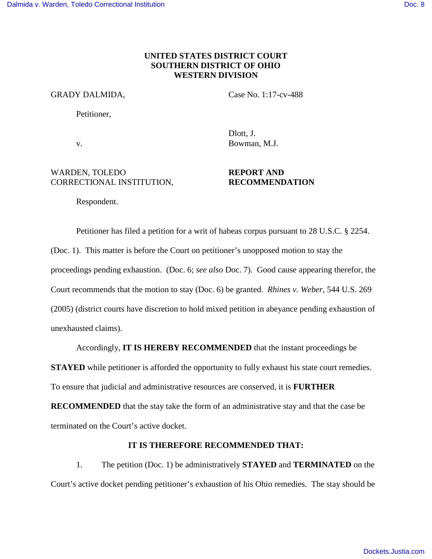# **UNITED STATES DISTRICT COURT SOUTHERN DISTRICT OF OHIO WESTERN DIVISION**

#### GRADY DALMIDA, Case No. 1:17-cv-488

Dlott, J.

Petitioner,

v. Bowman, M.J.

WARDEN, TOLEDO **REPORT AND** 

# CORRECTIONAL INSTITUTION, **RECOMMENDATION**

Respondent.

Petitioner has filed a petition for a writ of habeas corpus pursuant to 28 U.S.C. § 2254. (Doc. 1). This matter is before the Court on petitioner's unopposed motion to stay the proceedings pending exhaustion. (Doc. 6; *see also* Doc. 7). Good cause appearing therefor, the Court recommends that the motion to stay (Doc. 6) be granted. *Rhines v. Weber*, 544 U.S. 269 (2005) (district courts have discretion to hold mixed petition in abeyance pending exhaustion of unexhausted claims).

Accordingly, **IT IS HEREBY RECOMMENDED** that the instant proceedings be **STAYED** while petitioner is afforded the opportunity to fully exhaust his state court remedies.

To ensure that judicial and administrative resources are conserved, it is **FURTHER** 

**RECOMMENDED** that the stay take the form of an administrative stay and that the case be terminated on the Court's active docket.

# **IT IS THEREFORE RECOMMENDED THAT:**

1. The petition (Doc. 1) be administratively **STAYED** and **TERMINATED** on the Court's active docket pending petitioner's exhaustion of his Ohio remedies. The stay should be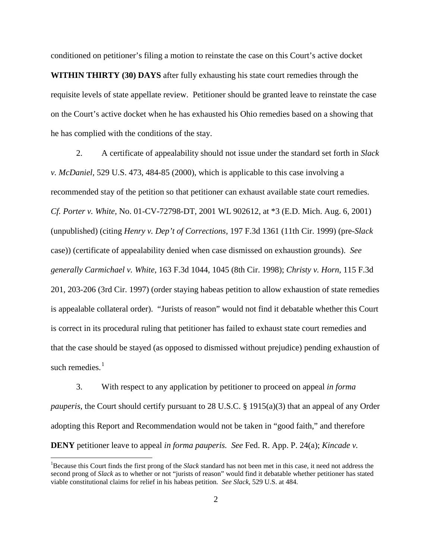conditioned on petitioner's filing a motion to reinstate the case on this Court's active docket **WITHIN THIRTY (30) DAYS** after fully exhausting his state court remedies through the requisite levels of state appellate review. Petitioner should be granted leave to reinstate the case on the Court's active docket when he has exhausted his Ohio remedies based on a showing that he has complied with the conditions of the stay.

2. A certificate of appealability should not issue under the standard set forth in *Slack v. McDaniel,* 529 U.S. 473, 484-85 (2000), which is applicable to this case involving a recommended stay of the petition so that petitioner can exhaust available state court remedies. *Cf. Porter v. White,* No. 01-CV-72798-DT, 2001 WL 902612, at \*3 (E.D. Mich. Aug. 6, 2001) (unpublished) (citing *Henry v. Dep't of Corrections,* 197 F.3d 1361 (11th Cir. 1999) (pre-*Slack* case)) (certificate of appealability denied when case dismissed on exhaustion grounds). *See generally Carmichael v. White,* 163 F.3d 1044, 1045 (8th Cir. 1998); *Christy v. Horn,* 115 F.3d 201, 203-206 (3rd Cir. 1997) (order staying habeas petition to allow exhaustion of state remedies is appealable collateral order). "Jurists of reason" would not find it debatable whether this Court is correct in its procedural ruling that petitioner has failed to exhaust state court remedies and that the case should be stayed (as opposed to dismissed without prejudice) pending exhaustion of such remedies. $<sup>1</sup>$  $<sup>1</sup>$  $<sup>1</sup>$ </sup>

3. With respect to any application by petitioner to proceed on appeal *in forma pauperis*, the Court should certify pursuant to 28 U.S.C. § 1915(a)(3) that an appeal of any Order adopting this Report and Recommendation would not be taken in "good faith," and therefore **DENY** petitioner leave to appeal *in forma pauperis. See* Fed. R. App. P. 24(a); *Kincade v.* 

 $\overline{a}$ 

<span id="page-1-0"></span><sup>1</sup>Because this Court finds the first prong of the *Slack* standard has not been met in this case, it need not address the second prong of *Slack* as to whether or not "jurists of reason" would find it debatable whether petitioner has stated viable constitutional claims for relief in his habeas petition. *See Slack,* 529 U.S. at 484.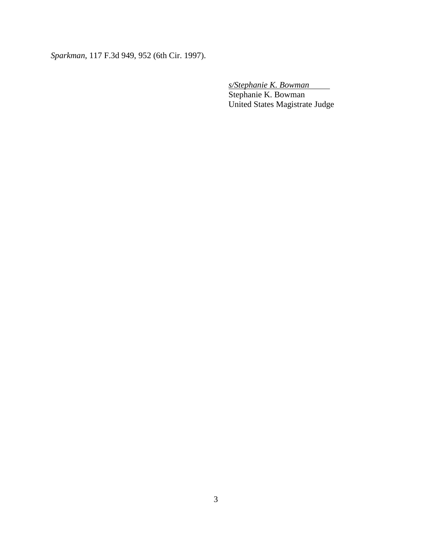*Sparkman*, 117 F.3d 949, 952 (6th Cir. 1997).

 *s/Stephanie K. Bowman*  Stephanie K. Bowman United States Magistrate Judge